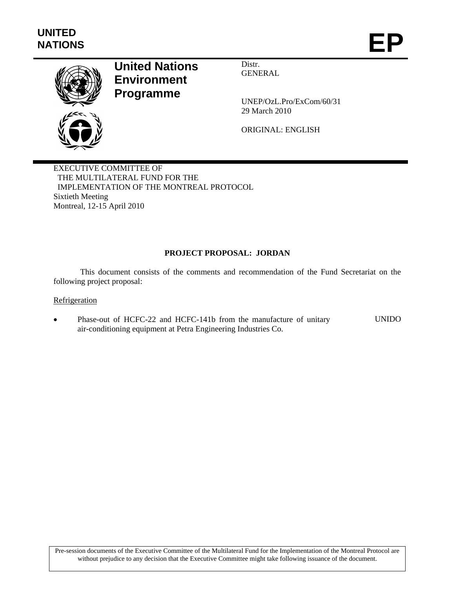

# **United Nations Environment Programme**

Distr. GENERAL

UNEP/OzL.Pro/ExCom/60/31 29 March 2010

ORIGINAL: ENGLISH

EXECUTIVE COMMITTEE OF THE MULTILATERAL FUND FOR THE IMPLEMENTATION OF THE MONTREAL PROTOCOL Sixtieth Meeting Montreal, 12-15 April 2010

# **PROJECT PROPOSAL: JORDAN**

This document consists of the comments and recommendation of the Fund Secretariat on the following project proposal:

## **Refrigeration**

 Phase-out of HCFC-22 and HCFC-141b from the manufacture of unitary air-conditioning equipment at Petra Engineering Industries Co. UNIDO

Pre-session documents of the Executive Committee of the Multilateral Fund for the Implementation of the Montreal Protocol are without prejudice to any decision that the Executive Committee might take following issuance of the document.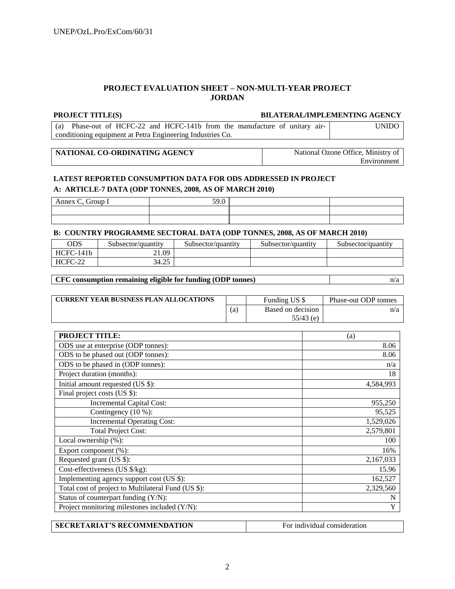# **PROJECT EVALUATION SHEET – NON-MULTI-YEAR PROJECT JORDAN**

#### **PROJECT TITLE(S) BILATERAL/IMPLEMENTING AGENCY**

(a) Phase-out of HCFC-22 and HCFC-141b from the manufacture of unitary airconditioning equipment at Petra Engineering Industries Co. UNIDO

| NATIONAL CO-ORDINATING AGENCY | National Ozone Office. Ministry of |
|-------------------------------|------------------------------------|
|                               | Environment                        |

# **LATEST REPORTED CONSUMPTION DATA FOR ODS ADDRESSED IN PROJECT A: ARTICLE-7 DATA (ODP TONNES, 2008, AS OF MARCH 2010)**

| roun<br>Annex ( |  |  |
|-----------------|--|--|
|                 |  |  |
|                 |  |  |

#### **B: COUNTRY PROGRAMME SECTORAL DATA (ODP TONNES, 2008, AS OF MARCH 2010)**

| ODS             | Subsector/quantity | Subsector/quantity | Subsector/quantity | Subsector/quantity |
|-----------------|--------------------|--------------------|--------------------|--------------------|
| '-141b<br>HCFC- | $\angle 1.09$      |                    |                    |                    |
| HCFC-22         | $\Omega$<br>34.25  |                    |                    |                    |

#### **CFC consumption remaining eligible for funding (ODP tonnes)** n/a

| <b>CURRENT YEAR BUSINESS PLAN ALLOCATIONS</b> |     | Funding US \$     | Phase-out ODP tonnes |
|-----------------------------------------------|-----|-------------------|----------------------|
|                                               | (a) | Based on decision | n/a                  |
|                                               |     | $55/43$ (e)       |                      |

| <b>PROJECT TITLE:</b>                               | (a)       |
|-----------------------------------------------------|-----------|
| ODS use at enterprise (ODP tonnes):                 | 8.06      |
| ODS to be phased out (ODP tonnes):                  | 8.06      |
| ODS to be phased in (ODP tonnes):                   | n/a       |
| Project duration (months):                          | 18        |
| Initial amount requested (US \$):                   | 4,584,993 |
| Final project costs (US \$):                        |           |
| <b>Incremental Capital Cost:</b>                    | 955,250   |
| Contingency (10 %):                                 | 95,525    |
| <b>Incremental Operating Cost:</b>                  | 1,529,026 |
| <b>Total Project Cost:</b>                          | 2,579,801 |
| Local ownership $(\% )$ :                           | 100       |
| Export component (%):                               | 16%       |
| Requested grant (US \$):                            | 2,167,033 |
| Cost-effectiveness (US \$/kg):                      | 15.96     |
| Implementing agency support cost (US \$):           | 162,527   |
| Total cost of project to Multilateral Fund (US \$): | 2,329,560 |
| Status of counterpart funding (Y/N):                | N         |
| Project monitoring milestones included (Y/N):       | Y         |

| <b>SECRETARIAT'S RECOMMENDATION</b> | For individual consideration |
|-------------------------------------|------------------------------|
|                                     |                              |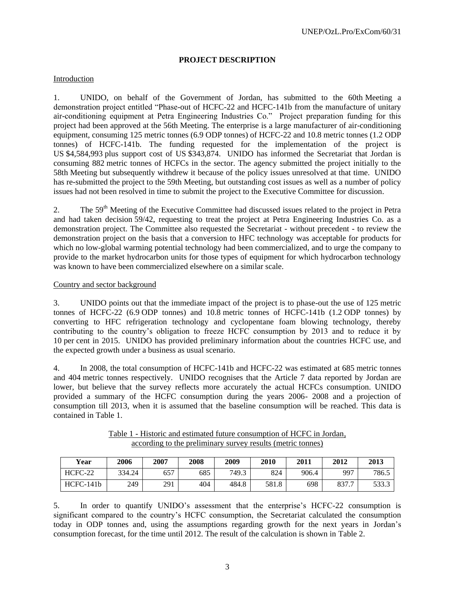## **PROJECT DESCRIPTION**

#### Introduction

1. UNIDO, on behalf of the Government of Jordan, has submitted to the 60th Meeting a demonstration project entitled "Phase-out of HCFC-22 and HCFC-141b from the manufacture of unitary air-conditioning equipment at Petra Engineering Industries Co." Project preparation funding for this project had been approved at the 56th Meeting. The enterprise is a large manufacturer of air-conditioning equipment, consuming 125 metric tonnes (6.9 ODP tonnes) of HCFC-22 and 10.8 metric tonnes (1.2 ODP tonnes) of HCFC-141b. The funding requested for the implementation of the project is US \$4,584,993 plus support cost of US \$343,874. UNIDO has informed the Secretariat that Jordan is consuming 882 metric tonnes of HCFCs in the sector. The agency submitted the project initially to the 58th Meeting but subsequently withdrew it because of the policy issues unresolved at that time. UNIDO has re-submitted the project to the 59th Meeting, but outstanding cost issues as well as a number of policy issues had not been resolved in time to submit the project to the Executive Committee for discussion.

2. The 59<sup>th</sup> Meeting of the Executive Committee had discussed issues related to the project in Petra and had taken decision 59/42, requesting to treat the project at Petra Engineering Industries Co. as a demonstration project. The Committee also requested the Secretariat - without precedent - to review the demonstration project on the basis that a conversion to HFC technology was acceptable for products for which no low-global warming potential technology had been commercialized, and to urge the company to provide to the market hydrocarbon units for those types of equipment for which hydrocarbon technology was known to have been commercialized elsewhere on a similar scale.

#### Country and sector background

3. UNIDO points out that the immediate impact of the project is to phase-out the use of 125 metric tonnes of HCFC-22 (6.9 ODP tonnes) and 10.8 metric tonnes of HCFC-141b (1.2 ODP tonnes) by converting to HFC refrigeration technology and cyclopentane foam blowing technology, thereby contributing to the country's obligation to freeze HCFC consumption by 2013 and to reduce it by 10 per cent in 2015. UNIDO has provided preliminary information about the countries HCFC use, and the expected growth under a business as usual scenario.

4. In 2008, the total consumption of HCFC-141b and HCFC-22 was estimated at 685 metric tonnes and 404 metric tonnes respectively. UNIDO recognises that the Article 7 data reported by Jordan are lower, but believe that the survey reflects more accurately the actual HCFCs consumption. UNIDO provided a summary of the HCFC consumption during the years 2006- 2008 and a projection of consumption till 2013, when it is assumed that the baseline consumption will be reached. This data is contained in Table 1.

| Year        | 2006   | 2007 | 2008 | 2009  | 2010  | 2011  | 2012  | 2013  |
|-------------|--------|------|------|-------|-------|-------|-------|-------|
| HCFC-22     | 334.24 | 657  | 685  | 749.3 | 824   | 906.4 | 997   | 786.5 |
| $HCFC-141b$ | 249    | 291  | 404  | 484.8 | 581.8 | 698   | 837.7 | 533.3 |

Table 1 - Historic and estimated future consumption of HCFC in Jordan, according to the preliminary survey results (metric tonnes)

5. In order to quantify UNIDO's assessment that the enterprise's HCFC-22 consumption is significant compared to the country's HCFC consumption, the Secretariat calculated the consumption today in ODP tonnes and, using the assumptions regarding growth for the next years in Jordan's consumption forecast, for the time until 2012. The result of the calculation is shown in Table 2.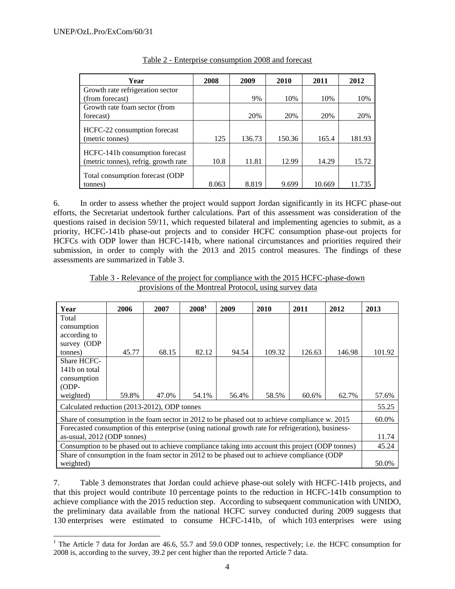l

| Year                                                                   | 2008  | 2009   | 2010   | 2011   | 2012   |
|------------------------------------------------------------------------|-------|--------|--------|--------|--------|
| Growth rate refrigeration sector                                       |       |        |        |        |        |
| (from forecast)                                                        |       | 9%     | 10%    | 10%    | 10%    |
| Growth rate foam sector (from                                          |       |        |        |        |        |
| forecast)                                                              |       | 20%    | 20%    | 20%    | 20%    |
| HCFC-22 consumption forecast<br>(metric tonnes)                        | 125   | 136.73 | 150.36 | 165.4  | 181.93 |
| HCFC-141b consumption forecast<br>(metric tonnes), refrig. growth rate | 10.8  | 11.81  | 12.99  | 14.29  | 15.72  |
| Total consumption forecast (ODP)<br>tonnes)                            | 8.063 | 8.819  | 9.699  | 10.669 |        |

|  | Table 2 - Enterprise consumption 2008 and forecast |  |  |
|--|----------------------------------------------------|--|--|
|  |                                                    |  |  |

6. In order to assess whether the project would support Jordan significantly in its HCFC phase-out efforts, the Secretariat undertook further calculations. Part of this assessment was consideration of the questions raised in decision 59/11, which requested bilateral and implementing agencies to submit, as a priority, HCFC-141b phase-out projects and to consider HCFC consumption phase-out projects for HCFCs with ODP lower than HCFC-141b, where national circumstances and priorities required their submission, in order to comply with the 2013 and 2015 control measures. The findings of these assessments are summarized in Table 3.

| Year                                                                                                | 2006                                         | 2007  | $2008^1$ | 2009  | 2010   | 2011   | 2012   | 2013   |
|-----------------------------------------------------------------------------------------------------|----------------------------------------------|-------|----------|-------|--------|--------|--------|--------|
| Total                                                                                               |                                              |       |          |       |        |        |        |        |
| consumption                                                                                         |                                              |       |          |       |        |        |        |        |
| according to                                                                                        |                                              |       |          |       |        |        |        |        |
| survey (ODP                                                                                         |                                              |       |          |       |        |        |        |        |
| tonnes)                                                                                             | 45.77                                        | 68.15 | 82.12    | 94.54 | 109.32 | 126.63 | 146.98 | 101.92 |
| Share HCFC-                                                                                         |                                              |       |          |       |        |        |        |        |
| 141b on total                                                                                       |                                              |       |          |       |        |        |        |        |
| consumption                                                                                         |                                              |       |          |       |        |        |        |        |
| $ODP-$                                                                                              |                                              |       |          |       |        |        |        |        |
| weighted)                                                                                           | 59.8%                                        | 47.0% | 54.1%    | 56.4% | 58.5%  | 60.6%  | 62.7%  | 57.6%  |
|                                                                                                     | Calculated reduction (2013-2012), ODP tonnes |       |          |       |        |        | 55.25  |        |
| Share of consumption in the foam sector in 2012 to be phased out to achieve compliance w. 2015      |                                              |       |          |       |        |        |        | 60.0%  |
| Forecasted consumption of this enterprise (using national growth rate for refrigeration), business- |                                              |       |          |       |        |        |        |        |
| as-usual, 2012 (ODP tonnes)                                                                         |                                              |       |          |       |        | 11.74  |        |        |
| Consumption to be phased out to achieve compliance taking into account this project (ODP tonnes)    |                                              |       |          |       | 45.24  |        |        |        |
| Share of consumption in the foam sector in 2012 to be phased out to achieve compliance (ODP         |                                              |       |          |       |        |        |        |        |
| weighted)                                                                                           |                                              |       |          |       |        |        |        | 50.0%  |

Table 3 - Relevance of the project for compliance with the 2015 HCFC-phase-down provisions of the Montreal Protocol, using survey data

7. Table 3 demonstrates that Jordan could achieve phase-out solely with HCFC-141b projects, and that this project would contribute 10 percentage points to the reduction in HCFC-141b consumption to achieve compliance with the 2015 reduction step. According to subsequent communication with UNIDO, the preliminary data available from the national HCFC survey conducted during 2009 suggests that 130 enterprises were estimated to consume HCFC-141b, of which 103 enterprises were using

<sup>&</sup>lt;sup>1</sup> The Article 7 data for Jordan are 46.6, 55.7 and 59.0 ODP tonnes, respectively; i.e. the HCFC consumption for 2008 is, according to the survey, 39.2 per cent higher than the reported Article 7 data.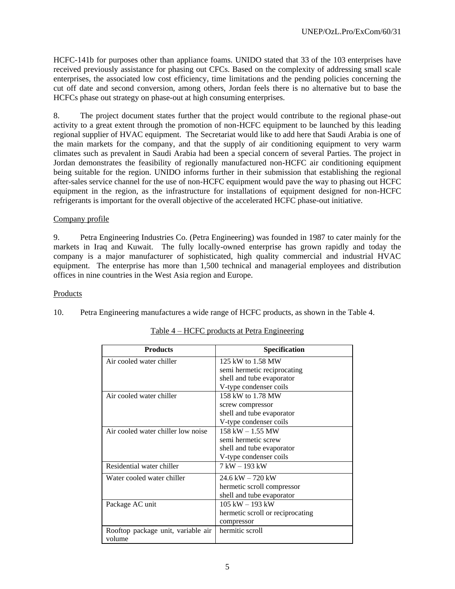HCFC-141b for purposes other than appliance foams. UNIDO stated that 33 of the 103 enterprises have received previously assistance for phasing out CFCs. Based on the complexity of addressing small scale enterprises, the associated low cost efficiency, time limitations and the pending policies concerning the cut off date and second conversion, among others, Jordan feels there is no alternative but to base the HCFCs phase out strategy on phase-out at high consuming enterprises.

8. The project document states further that the project would contribute to the regional phase-out activity to a great extent through the promotion of non-HCFC equipment to be launched by this leading regional supplier of HVAC equipment. The Secretariat would like to add here that Saudi Arabia is one of the main markets for the company, and that the supply of air conditioning equipment to very warm climates such as prevalent in Saudi Arabia had been a special concern of several Parties. The project in Jordan demonstrates the feasibility of regionally manufactured non-HCFC air conditioning equipment being suitable for the region. UNIDO informs further in their submission that establishing the regional after-sales service channel for the use of non-HCFC equipment would pave the way to phasing out HCFC equipment in the region, as the infrastructure for installations of equipment designed for non-HCFC refrigerants is important for the overall objective of the accelerated HCFC phase-out initiative.

# Company profile

9. Petra Engineering Industries Co. (Petra Engineering) was founded in 1987 to cater mainly for the markets in Iraq and Kuwait. The fully locally-owned enterprise has grown rapidly and today the company is a major manufacturer of sophisticated, high quality commercial and industrial HVAC equipment. The enterprise has more than 1,500 technical and managerial employees and distribution offices in nine countries in the West Asia region and Europe.

#### Products

10. Petra Engineering manufactures a wide range of HCFC products, as shown in the Table 4.

| <b>Products</b>                              | Specification                    |
|----------------------------------------------|----------------------------------|
| Air cooled water chiller                     | 125 kW to 1.58 MW                |
|                                              | semi hermetic reciprocating      |
|                                              | shell and tube evaporator        |
|                                              | V-type condenser coils           |
| Air cooled water chiller                     | 158 kW to 1.78 MW                |
|                                              | screw compressor                 |
|                                              | shell and tube evaporator        |
|                                              | V-type condenser coils           |
| Air cooled water chiller low noise           | $158$ kW $- 1.55$ MW             |
|                                              | semi hermetic screw              |
|                                              | shell and tube evaporator        |
|                                              | V-type condenser coils           |
| Residential water chiller                    | 7 kW - 193 kW                    |
| Water cooled water chiller                   | $24.6$ kW $- 720$ kW             |
|                                              | hermetic scroll compressor       |
|                                              | shell and tube evaporator        |
| Package AC unit                              | $105$ kW $-$ 193 kW              |
|                                              | hermetic scroll or reciprocating |
|                                              | compressor                       |
| Rooftop package unit, variable air<br>volume | hermitic scroll                  |

## Table 4 – HCFC products at Petra Engineering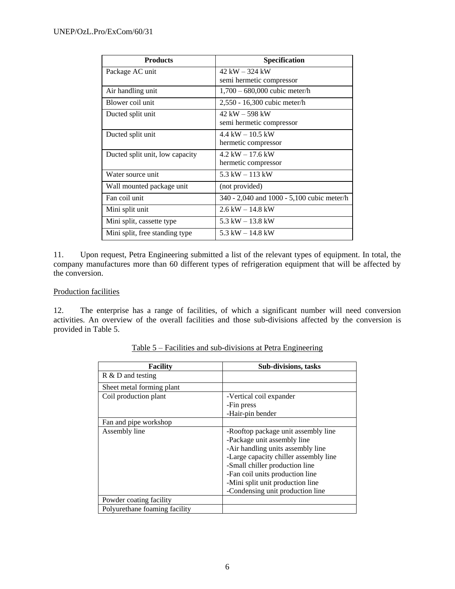| <b>Products</b>                 | Specification                              |
|---------------------------------|--------------------------------------------|
| Package AC unit                 | $42$ kW $-$ 324 kW                         |
|                                 | semi hermetic compressor                   |
| Air handling unit               | $1,700 - 680,000$ cubic meter/h            |
| Blower coil unit                | 2,550 - 16,300 cubic meter/h               |
| Ducted split unit               | $42$ kW $-$ 598 kW                         |
|                                 | semi hermetic compressor                   |
| Ducted split unit               | $4.4 \text{ kW} - 10.5 \text{ kW}$         |
|                                 | hermetic compressor                        |
| Ducted split unit, low capacity | $4.2 \text{ kW} - 17.6 \text{ kW}$         |
|                                 | hermetic compressor                        |
| Water source unit               | 5.3 kW $-$ 113 kW                          |
| Wall mounted package unit       | (not provided)                             |
| Fan coil unit                   | 340 - 2,040 and 1000 - 5,100 cubic meter/h |
| Mini split unit                 | $2.6 \text{ kW} - 14.8 \text{ kW}$         |
| Mini split, cassette type       | 5.3 kW $-$ 13.8 kW                         |
| Mini split, free standing type  | 5.3 kW $-$ 14.8 kW                         |

11. Upon request, Petra Engineering submitted a list of the relevant types of equipment. In total, the company manufactures more than 60 different types of refrigeration equipment that will be affected by the conversion.

# Production facilities

12. The enterprise has a range of facilities, of which a significant number will need conversion activities. An overview of the overall facilities and those sub-divisions affected by the conversion is provided in Table 5.

| Facility                      | <b>Sub-divisions, tasks</b>           |
|-------------------------------|---------------------------------------|
| $R \& D$ and testing          |                                       |
| Sheet metal forming plant     |                                       |
| Coil production plant         | -Vertical coil expander               |
|                               | -Fin press                            |
|                               | -Hair-pin bender                      |
| Fan and pipe workshop         |                                       |
| Assembly line                 | -Rooftop package unit assembly line   |
|                               | -Package unit assembly line           |
|                               | -Air handling units assembly line     |
|                               | -Large capacity chiller assembly line |
|                               | -Small chiller production line        |
|                               | -Fan coil units production line       |
|                               | -Mini split unit production line      |
|                               | -Condensing unit production line      |
| Powder coating facility       |                                       |
| Polyurethane foaming facility |                                       |

Table 5 – Facilities and sub-divisions at Petra Engineering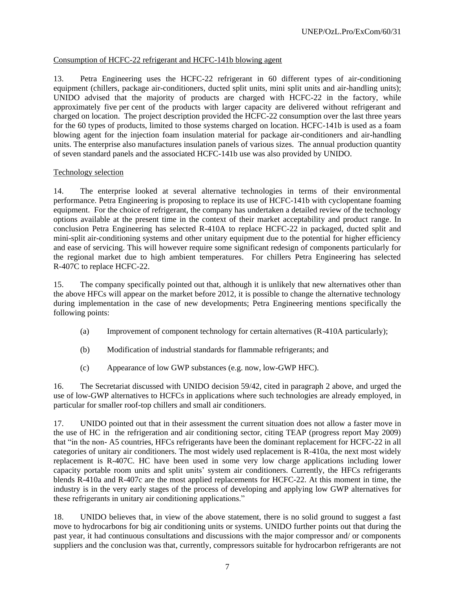# Consumption of HCFC-22 refrigerant and HCFC-141b blowing agent

13. Petra Engineering uses the HCFC-22 refrigerant in 60 different types of air-conditioning equipment (chillers, package air-conditioners, ducted split units, mini split units and air-handling units); UNIDO advised that the majority of products are charged with HCFC-22 in the factory, while approximately five per cent of the products with larger capacity are delivered without refrigerant and charged on location. The project description provided the HCFC-22 consumption over the last three years for the 60 types of products, limited to those systems charged on location. HCFC-141b is used as a foam blowing agent for the injection foam insulation material for package air-conditioners and air-handling units. The enterprise also manufactures insulation panels of various sizes. The annual production quantity of seven standard panels and the associated HCFC-141b use was also provided by UNIDO.

# Technology selection

14. The enterprise looked at several alternative technologies in terms of their environmental performance. Petra Engineering is proposing to replace its use of HCFC-141b with cyclopentane foaming equipment. For the choice of refrigerant, the company has undertaken a detailed review of the technology options available at the present time in the context of their market acceptability and product range. In conclusion Petra Engineering has selected R-410A to replace HCFC-22 in packaged, ducted split and mini-split air-conditioning systems and other unitary equipment due to the potential for higher efficiency and ease of servicing. This will however require some significant redesign of components particularly for the regional market due to high ambient temperatures. For chillers Petra Engineering has selected R-407C to replace HCFC-22.

15. The company specifically pointed out that, although it is unlikely that new alternatives other than the above HFCs will appear on the market before 2012, it is possible to change the alternative technology during implementation in the case of new developments; Petra Engineering mentions specifically the following points:

- (a) Improvement of component technology for certain alternatives (R-410A particularly);
- (b) Modification of industrial standards for flammable refrigerants; and
- (c) Appearance of low GWP substances (e.g. now, low-GWP HFC).

16. The Secretariat discussed with UNIDO decision 59/42, cited in paragraph 2 above, and urged the use of low-GWP alternatives to HCFCs in applications where such technologies are already employed, in particular for smaller roof-top chillers and small air conditioners.

17. UNIDO pointed out that in their assessment the current situation does not allow a faster move in the use of HC in the refrigeration and air conditioning sector, citing TEAP (progress report May 2009) that "in the non- A5 countries, HFCs refrigerants have been the dominant replacement for HCFC-22 in all categories of unitary air conditioners. The most widely used replacement is R-410a, the next most widely replacement is R-407C. HC have been used in some very low charge applications including lower capacity portable room units and split units' system air conditioners. Currently, the HFCs refrigerants blends R-410a and R-407c are the most applied replacements for HCFC-22. At this moment in time, the industry is in the very early stages of the process of developing and applying low GWP alternatives for these refrigerants in unitary air conditioning applications."

18. UNIDO believes that, in view of the above statement, there is no solid ground to suggest a fast move to hydrocarbons for big air conditioning units or systems. UNIDO further points out that during the past year, it had continuous consultations and discussions with the major compressor and/ or components suppliers and the conclusion was that, currently, compressors suitable for hydrocarbon refrigerants are not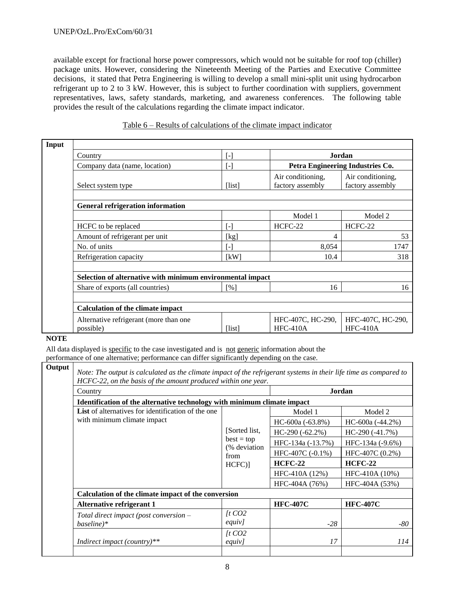#### UNEP/OzL.Pro/ExCom/60/31

available except for fractional horse power compressors, which would not be suitable for roof top (chiller) package units. However, considering the Nineteenth Meeting of the Parties and Executive Committee decisions, it stated that Petra Engineering is willing to develop a small mini-split unit using hydrocarbon refrigerant up to 2 to 3 kW. However, this is subject to further coordination with suppliers, government representatives, laws, safety standards, marketing, and awareness conferences. The following table provides the result of the calculations regarding the climate impact indicator.

| Input |                                                                    |                   |                                            |                                       |
|-------|--------------------------------------------------------------------|-------------------|--------------------------------------------|---------------------------------------|
|       | Country                                                            | $\lceil - \rceil$ | Jordan<br>Petra Engineering Industries Co. |                                       |
|       | Company data (name, location)                                      | $\lceil - \rceil$ |                                            |                                       |
|       | Select system type                                                 | [list]            | Air conditioning,<br>factory assembly      | Air conditioning,<br>factory assembly |
|       |                                                                    |                   |                                            |                                       |
|       | <b>General refrigeration information</b>                           |                   |                                            |                                       |
|       |                                                                    |                   | Model 1                                    | Model 2                               |
|       | HCFC to be replaced                                                | $\lceil - \rceil$ | HCFC-22                                    | HCFC-22                               |
|       | Amount of refrigerant per unit                                     | [kg]              | 4                                          | 53                                    |
|       | No. of units                                                       | L-1               | 8,054                                      | 1747                                  |
|       | Refrigeration capacity                                             | [kW]              | 10.4                                       | 318                                   |
|       |                                                                    |                   |                                            |                                       |
|       | Selection of alternative with minimum environmental impact         |                   |                                            |                                       |
|       | 16<br>Share of exports (all countries)<br>$\lceil \sqrt{6} \rceil$ |                   | 16                                         |                                       |
|       |                                                                    |                   |                                            |                                       |
|       | <b>Calculation of the climate impact</b>                           |                   |                                            |                                       |
|       | Alternative refrigerant (more than one<br>possible)                | [list]            | HFC-407C, HC-290,<br>$HEC-410A$            | HFC-407C, HC-290,<br>$HEC-410A$       |

## Table 6 – Results of calculations of the climate impact indicator

**NOTE**

All data displayed is specific to the case investigated and is not generic information about the performance of one alternative; performance can differ significantly depending on the case.

| HCFC-22, on the basis of the amount produced within one year.<br>Country                 |                                                                   | Jordan              |                    |
|------------------------------------------------------------------------------------------|-------------------------------------------------------------------|---------------------|--------------------|
| Identification of the alternative technology with minimum climate impact                 |                                                                   |                     |                    |
| <b>List</b> of alternatives for identification of the one<br>with minimum climate impact |                                                                   | Model 1             | Model 2            |
|                                                                                          | [Sorted list,<br>$best = top$<br>(% deviation<br>from<br>$HCFC$ ] | HC-600a (-63.8%)    | $HC-600a (-44.2%)$ |
|                                                                                          |                                                                   | $HC-290(-62.2%)$    | $HC-290(-41.7%)$   |
|                                                                                          |                                                                   | HFC-134a (-13.7%)   | HFC-134a (-9.6%)   |
|                                                                                          |                                                                   | HFC-407C $(-0.1\%)$ | HFC-407C (0.2%)    |
|                                                                                          |                                                                   | <b>HCFC-22</b>      | <b>HCFC-22</b>     |
|                                                                                          |                                                                   | HFC-410A (12%)      | HFC-410A (10%)     |
|                                                                                          |                                                                   | HFC-404A (76%)      | HFC-404A (53%)     |
| Calculation of the climate impact of the conversion                                      |                                                                   |                     |                    |
| <b>Alternative refrigerant 1</b>                                                         |                                                                   | <b>HFC-407C</b>     | <b>HFC-407C</b>    |
| Total direct impact (post conversion -                                                   | $\int$ t CO2                                                      |                     |                    |
| $baseline)*$                                                                             | equiv]                                                            | $-28$               |                    |
|                                                                                          | $\int$ t CO2                                                      |                     |                    |
| Indirect impact (country)**                                                              | equiv]                                                            | 17                  |                    |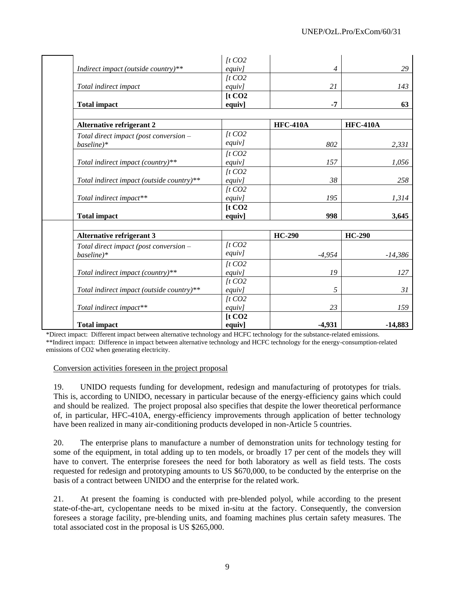|                                           | $\int$ t CO <sub>2</sub> |                 |                 |
|-------------------------------------------|--------------------------|-----------------|-----------------|
| Indirect impact (outside country)**       | equiv]                   | $\overline{4}$  | 29              |
|                                           | $\int$ t CO <sub>2</sub> |                 |                 |
| Total indirect impact                     | equiv]                   | 21              | 143             |
|                                           | [t CO2                   |                 |                 |
| <b>Total impact</b>                       | equiv]                   | $-7$            | 63              |
|                                           |                          |                 |                 |
| <b>Alternative refrigerant 2</b>          |                          | <b>HFC-410A</b> | <b>HFC-410A</b> |
| Total direct impact (post conversion -    | $\int$ t CO2             |                 |                 |
| baseline)*                                | equiv]                   | 802             | 2,331           |
|                                           | $\int$ t CO <sub>2</sub> |                 |                 |
| Total indirect impact (country)**         | equiv]                   | 157             | 1,056           |
|                                           | $\int$ t CO <sub>2</sub> |                 |                 |
| Total indirect impact (outside country)** | equiv]                   | 38              | 258             |
|                                           | $\int$ t CO <sub>2</sub> |                 |                 |
| Total indirect impact**                   | equiv]                   | 195             | 1,314           |
|                                           | [t CO2                   |                 |                 |
| <b>Total impact</b>                       | equiv]                   | 998             | 3,645           |
|                                           |                          |                 |                 |
| <b>Alternative refrigerant 3</b>          |                          | <b>HC-290</b>   | <b>HC-290</b>   |
| Total direct impact (post conversion -    | $\int$ t CO2             |                 |                 |
| $baseline)*$                              | equiv]                   | $-4,954$        | $-14,386$       |
|                                           | $\int$ t CO2             |                 |                 |
| Total indirect impact (country)**         | equiv]                   | 19              | 127             |
|                                           | $\int$ t CO <sub>2</sub> |                 |                 |
| Total indirect impact (outside country)** | equiv]                   | 5               | 31              |
|                                           | $\int$ t CO <sub>2</sub> |                 |                 |
| Total indirect impact**                   | equiv]                   | 23              | 159             |
|                                           | [t CO2                   |                 |                 |
| <b>Total impact</b>                       | equiv]                   | $-4,931$        | $-14,883$       |

\*Direct impact: Different impact between alternative technology and HCFC technology for the substance-related emissions. \*\*Indirect impact: Difference in impact between alternative technology and HCFC technology for the energy-consumption-related emissions of CO2 when generating electricity.

Conversion activities foreseen in the project proposal

19. UNIDO requests funding for development, redesign and manufacturing of prototypes for trials. This is, according to UNIDO, necessary in particular because of the energy-efficiency gains which could and should be realized. The project proposal also specifies that despite the lower theoretical performance of, in particular, HFC-410A, energy-efficiency improvements through application of better technology have been realized in many air-conditioning products developed in non-Article 5 countries.

20. The enterprise plans to manufacture a number of demonstration units for technology testing for some of the equipment, in total adding up to ten models, or broadly 17 per cent of the models they will have to convert. The enterprise foresees the need for both laboratory as well as field tests. The costs requested for redesign and prototyping amounts to US \$670,000, to be conducted by the enterprise on the basis of a contract between UNIDO and the enterprise for the related work.

21. At present the foaming is conducted with pre-blended polyol, while according to the present state-of-the-art, cyclopentane needs to be mixed in-situ at the factory. Consequently, the conversion foresees a storage facility, pre-blending units, and foaming machines plus certain safety measures. The total associated cost in the proposal is US \$265,000.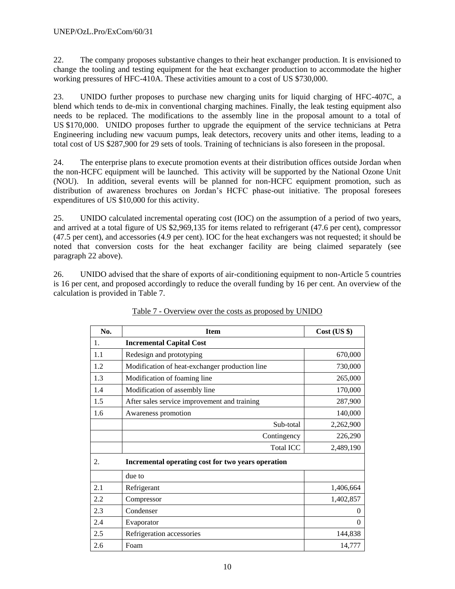<span id="page-9-0"></span>22. The company proposes substantive changes to their heat exchanger production. It is envisioned to change the tooling and testing equipment for the heat exchanger production to accommodate the higher working pressures of HFC-410A. These activities amount to a cost of US \$730,000.

23. UNIDO further proposes to purchase new charging units for liquid charging of HFC-407C, a blend which tends to de-mix in conventional charging machines. Finally, the leak testing equipment also needs to be replaced. The modifications to the assembly line in the proposal amount to a total of US \$170,000. UNIDO proposes further to upgrade the equipment of the service technicians at Petra Engineering including new vacuum pumps, leak detectors, recovery units and other items, leading to a total cost of US \$287,900 for 29 sets of tools. Training of technicians is also foreseen in the proposal.

24. The enterprise plans to execute promotion events at their distribution offices outside Jordan when the non-HCFC equipment will be launched. This activity will be supported by the National Ozone Unit (NOU). In addition, several events will be planned for non-HCFC equipment promotion, such as distribution of awareness brochures on Jordan's HCFC phase-out initiative. The proposal foresees expenditures of US \$10,000 for this activity.

25. UNIDO calculated incremental operating cost (IOC) on the assumption of a period of two years, and arrived at a total figure of US \$2,969,135 for items related to refrigerant (47.6 per cent), compressor (47.5 per cent), and accessories (4.9 per cent). IOC for the heat exchangers was not requested; it should be noted that conversion costs for the heat exchanger facility are being claimed separately (see paragraph [22](#page-9-0) above).

26. UNIDO advised that the share of exports of air-conditioning equipment to non-Article 5 countries is 16 per cent, and proposed accordingly to reduce the overall funding by 16 per cent. An overview of the calculation is provided in Table 7.

| No.                                                      | <b>Item</b>                                    | Cost (US \$) |  |  |  |
|----------------------------------------------------------|------------------------------------------------|--------------|--|--|--|
| 1.                                                       | <b>Incremental Capital Cost</b>                |              |  |  |  |
| 1.1                                                      | Redesign and prototyping                       | 670,000      |  |  |  |
| 1.2                                                      | Modification of heat-exchanger production line | 730,000      |  |  |  |
| 1.3                                                      | Modification of foaming line                   | 265,000      |  |  |  |
| 1.4                                                      | Modification of assembly line                  | 170,000      |  |  |  |
| 1.5                                                      | After sales service improvement and training   | 287,900      |  |  |  |
| 1.6                                                      | Awareness promotion                            | 140,000      |  |  |  |
|                                                          | Sub-total                                      | 2,262,900    |  |  |  |
|                                                          | Contingency                                    | 226,290      |  |  |  |
|                                                          | <b>Total ICC</b>                               | 2,489,190    |  |  |  |
| 2.<br>Incremental operating cost for two years operation |                                                |              |  |  |  |
|                                                          | due to                                         |              |  |  |  |
| 2.1                                                      | Refrigerant                                    | 1,406,664    |  |  |  |
| 2.2                                                      | Compressor                                     | 1,402,857    |  |  |  |
| 2.3                                                      | Condenser                                      | 0            |  |  |  |
| 2.4                                                      | Evaporator                                     | $\theta$     |  |  |  |
| 2.5                                                      | Refrigeration accessories                      | 144,838      |  |  |  |
| 2.6                                                      | Foam                                           | 14,777       |  |  |  |

# Table 7 - Overview over the costs as proposed by UNIDO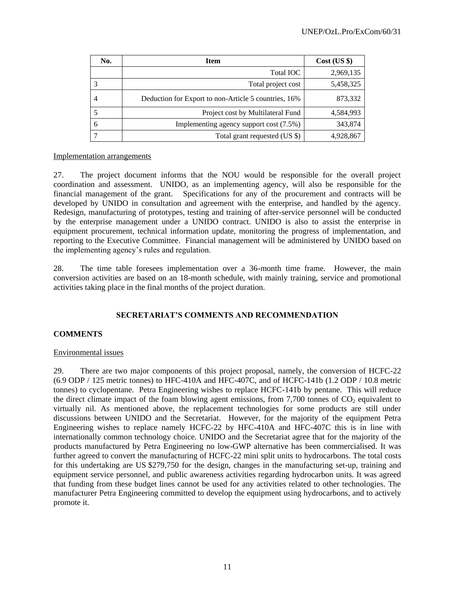| No. | <b>Item</b>                                          | $Cost$ (US \$) |
|-----|------------------------------------------------------|----------------|
|     | Total <b>IOC</b>                                     | 2,969,135      |
|     | Total project cost                                   | 5,458,325      |
|     | Deduction for Export to non-Article 5 countries, 16% | 873,332        |
|     | Project cost by Multilateral Fund                    | 4,584,993      |
| 6   | Implementing agency support cost (7.5%)              | 343,874        |
|     | Total grant requested (US \$)                        | 4,928,867      |

#### Implementation arrangements

27. The project document informs that the NOU would be responsible for the overall project coordination and assessment. UNIDO, as an implementing agency, will also be responsible for the financial management of the grant. Specifications for any of the procurement and contracts will be developed by UNIDO in consultation and agreement with the enterprise, and handled by the agency. Redesign, manufacturing of prototypes, testing and training of after-service personnel will be conducted by the enterprise management under a UNIDO contract. UNIDO is also to assist the enterprise in equipment procurement, technical information update, monitoring the progress of implementation, and reporting to the Executive Committee. Financial management will be administered by UNIDO based on the implementing agency's rules and regulation.

28. The time table foresees implementation over a 36-month time frame. However, the main conversion activities are based on an 18-month schedule, with mainly training, service and promotional activities taking place in the final months of the project duration.

# **SECRETARIAT'S COMMENTS AND RECOMMENDATION**

## **COMMENTS**

## Environmental issues

29. There are two major components of this project proposal, namely, the conversion of HCFC-22 (6.9 ODP / 125 metric tonnes) to HFC-410A and HFC-407C, and of HCFC-141b (1.2 ODP / 10.8 metric tonnes) to cyclopentane. Petra Engineering wishes to replace HCFC-141b by pentane. This will reduce the direct climate impact of the foam blowing agent emissions, from 7,700 tonnes of  $CO<sub>2</sub>$  equivalent to virtually nil. As mentioned above, the replacement technologies for some products are still under discussions between UNIDO and the Secretariat. However, for the majority of the equipment Petra Engineering wishes to replace namely HCFC-22 by HFC-410A and HFC-407C this is in line with internationally common technology choice. UNIDO and the Secretariat agree that for the majority of the products manufactured by Petra Engineering no low-GWP alternative has been commercialised. It was further agreed to convert the manufacturing of HCFC-22 mini split units to hydrocarbons. The total costs for this undertaking are US \$279,750 for the design, changes in the manufacturing set-up, training and equipment service personnel, and public awareness activities regarding hydrocarbon units. It was agreed that funding from these budget lines cannot be used for any activities related to other technologies. The manufacturer Petra Engineering committed to develop the equipment using hydrocarbons, and to actively promote it.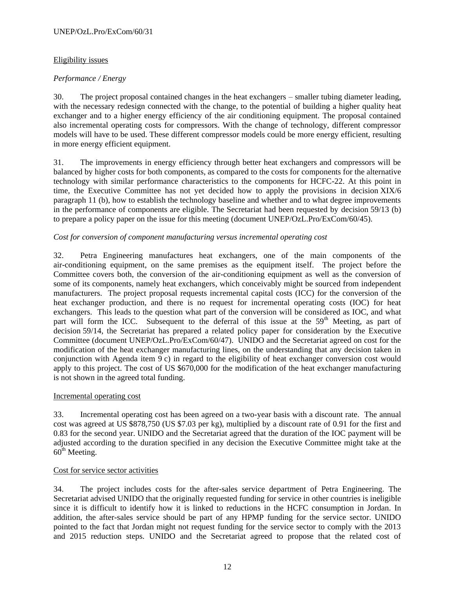### UNEP/OzL.Pro/ExCom/60/31

## Eligibility issues

# *Performance / Energy*

30. The project proposal contained changes in the heat exchangers – smaller tubing diameter leading, with the necessary redesign connected with the change, to the potential of building a higher quality heat exchanger and to a higher energy efficiency of the air conditioning equipment. The proposal contained also incremental operating costs for compressors. With the change of technology, different compressor models will have to be used. These different compressor models could be more energy efficient, resulting in more energy efficient equipment.

31. The improvements in energy efficiency through better heat exchangers and compressors will be balanced by higher costs for both components, as compared to the costs for components for the alternative technology with similar performance characteristics to the components for HCFC-22. At this point in time, the Executive Committee has not yet decided how to apply the provisions in decision XIX/6 paragraph 11 (b), how to establish the technology baseline and whether and to what degree improvements in the performance of components are eligible. The Secretariat had been requested by decision 59/13 (b) to prepare a policy paper on the issue for this meeting (document UNEP/OzL.Pro/ExCom/60/45).

## *Cost for conversion of component manufacturing versus incremental operating cost*

32. Petra Engineering manufactures heat exchangers, one of the main components of the air-conditioning equipment, on the same premises as the equipment itself. The project before the Committee covers both, the conversion of the air-conditioning equipment as well as the conversion of some of its components, namely heat exchangers, which conceivably might be sourced from independent manufacturers. The project proposal requests incremental capital costs (ICC) for the conversion of the heat exchanger production, and there is no request for incremental operating costs (IOC) for heat exchangers. This leads to the question what part of the conversion will be considered as IOC, and what part will form the ICC. Subsequent to the deferral of this issue at the 59<sup>th</sup> Meeting, as part of decision 59/14, the Secretariat has prepared a related policy paper for consideration by the Executive Committee (document UNEP/OzL.Pro/ExCom/60/47). UNIDO and the Secretariat agreed on cost for the modification of the heat exchanger manufacturing lines, on the understanding that any decision taken in conjunction with Agenda item 9 c) in regard to the eligibility of heat exchanger conversion cost would apply to this project. The cost of US \$670,000 for the modification of the heat exchanger manufacturing is not shown in the agreed total funding.

## Incremental operating cost

33. Incremental operating cost has been agreed on a two-year basis with a discount rate. The annual cost was agreed at US \$878,750 (US \$7.03 per kg), multiplied by a discount rate of 0.91 for the first and 0.83 for the second year. UNIDO and the Secretariat agreed that the duration of the IOC payment will be adjusted according to the duration specified in any decision the Executive Committee might take at the  $60<sup>th</sup>$  Meeting.

## Cost for service sector activities

34. The project includes costs for the after-sales service department of Petra Engineering. The Secretariat advised UNIDO that the originally requested funding for service in other countries is ineligible since it is difficult to identify how it is linked to reductions in the HCFC consumption in Jordan. In addition, the after-sales service should be part of any HPMP funding for the service sector. UNIDO pointed to the fact that Jordan might not request funding for the service sector to comply with the 2013 and 2015 reduction steps. UNIDO and the Secretariat agreed to propose that the related cost of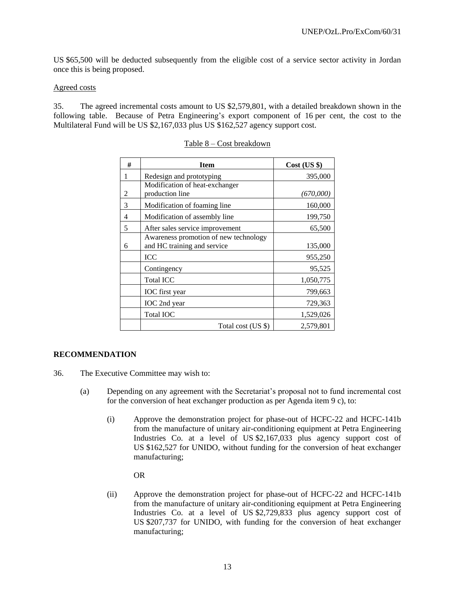US \$65,500 will be deducted subsequently from the eligible cost of a service sector activity in Jordan once this is being proposed.

#### Agreed costs

35. The agreed incremental costs amount to US \$2,579,801, with a detailed breakdown shown in the following table. Because of Petra Engineering's export component of 16 per cent, the cost to the Multilateral Fund will be US \$2,167,033 plus US \$162,527 agency support cost.

| # | <b>Item</b>                                                          | $Cost$ (US $\})$ |
|---|----------------------------------------------------------------------|------------------|
| 1 | Redesign and prototyping                                             | 395,000          |
| 2 | Modification of heat-exchanger<br>production line                    | (670,000)        |
| 3 | Modification of foaming line                                         | 160,000          |
| 4 | Modification of assembly line                                        | 199,750          |
| 5 | After sales service improvement                                      | 65,500           |
| 6 | Awareness promotion of new technology<br>and HC training and service | 135,000          |
|   | ICC                                                                  | 955,250          |
|   | Contingency                                                          | 95,525           |
|   | <b>Total ICC</b>                                                     | 1,050,775        |
|   | IOC first year                                                       | 799,663          |
|   | IOC 2nd year                                                         | 729,363          |
|   | <b>Total IOC</b>                                                     | 1,529,026        |
|   | Total cost (US \$)                                                   | 2,579,801        |

#### Table 8 – Cost breakdown

## **RECOMMENDATION**

- 36. The Executive Committee may wish to:
	- (a) Depending on any agreement with the Secretariat's proposal not to fund incremental cost for the conversion of heat exchanger production as per Agenda item 9 c), to:
		- (i) Approve the demonstration project for phase-out of HCFC-22 and HCFC-141b from the manufacture of unitary air-conditioning equipment at Petra Engineering Industries Co. at a level of US \$2,167,033 plus agency support cost of US \$162,527 for UNIDO, without funding for the conversion of heat exchanger manufacturing;

#### OR

(ii) Approve the demonstration project for phase-out of HCFC-22 and HCFC-141b from the manufacture of unitary air-conditioning equipment at Petra Engineering Industries Co. at a level of US \$2,729,833 plus agency support cost of US \$207,737 for UNIDO, with funding for the conversion of heat exchanger manufacturing;